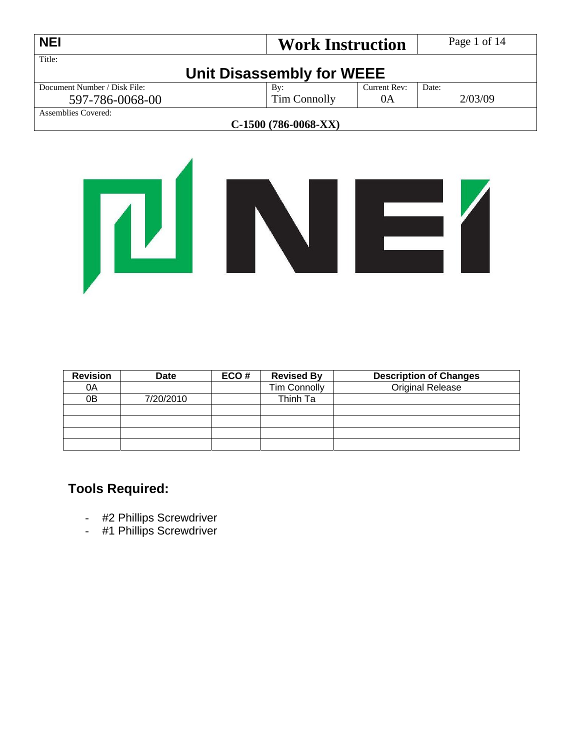| <b>NEI</b>                   | <b>Work Instruction</b>   |              | Page 1 of 14 |  |
|------------------------------|---------------------------|--------------|--------------|--|
| Title:                       | Unit Disassembly for WEEE |              |              |  |
| Document Number / Disk File: | By:                       | Current Rev: | Date:        |  |
| 597-786-0068-00              | Tim Connolly              | 0A           | 2/03/09      |  |
| Assemblies Covered:          |                           |              |              |  |
| $C-1500(786-0068-XX)$        |                           |              |              |  |



| <b>Revision</b> | <b>Date</b> | ECO# | <b>Revised By</b>   | <b>Description of Changes</b> |
|-----------------|-------------|------|---------------------|-------------------------------|
| 0A              |             |      | <b>Tim Connolly</b> | <b>Original Release</b>       |
| 0 <sub>B</sub>  | 7/20/2010   |      | Thinh Ta            |                               |
|                 |             |      |                     |                               |
|                 |             |      |                     |                               |
|                 |             |      |                     |                               |
|                 |             |      |                     |                               |

## **Tools Required:**

- #2 Phillips Screwdriver
- #1 Phillips Screwdriver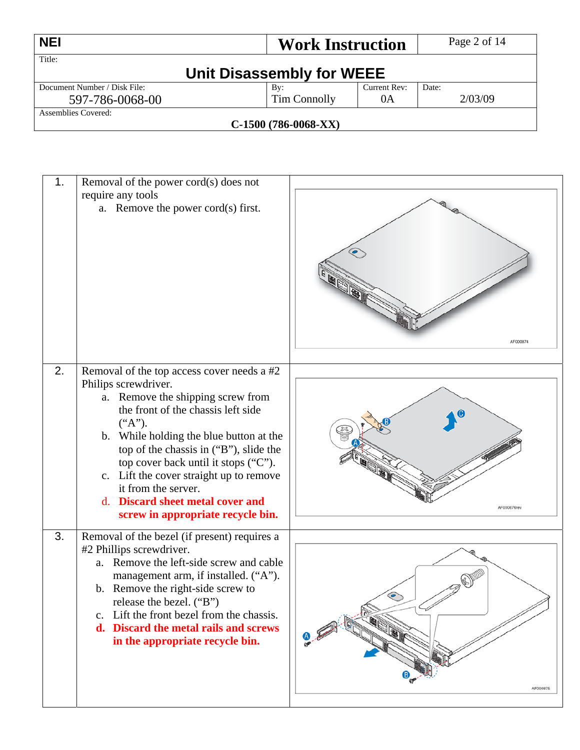| <b>NEI</b>                   | <b>Work Instruction</b>      |              | Page 2 of 14 |
|------------------------------|------------------------------|--------------|--------------|
| Title:                       |                              |              |              |
|                              | Unit Disassembly for WEEE    |              |              |
| Document Number / Disk File: | Bv:                          | Current Rev: | Date:        |
| 597-786-0068-00              | Tim Connolly                 | 0A           | 2/03/09      |
| Assemblies Covered:          |                              |              |              |
|                              | $\alpha$ 1500 (50% anso VIV) |              |              |

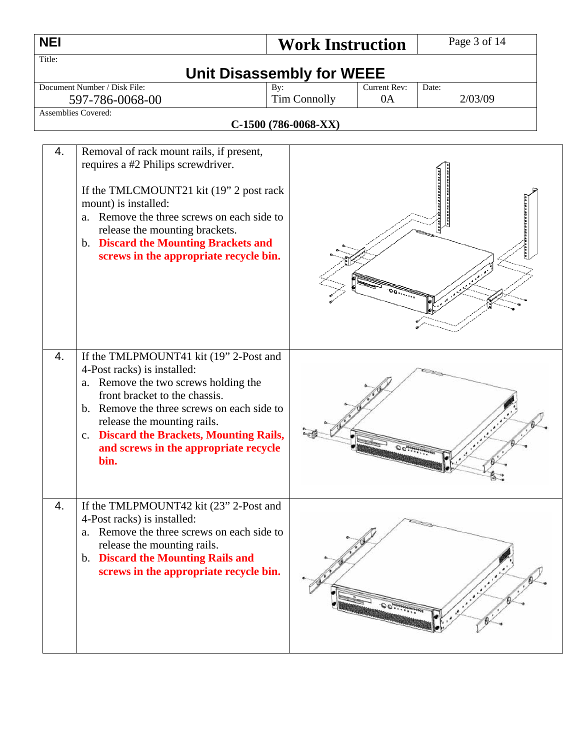| <b>NEI</b> |                                                                                                                                                                                                                                                                                                                                               | <b>Work Instruction</b>                                        |                    | Page 3 of 14     |
|------------|-----------------------------------------------------------------------------------------------------------------------------------------------------------------------------------------------------------------------------------------------------------------------------------------------------------------------------------------------|----------------------------------------------------------------|--------------------|------------------|
| Title:     |                                                                                                                                                                                                                                                                                                                                               |                                                                |                    |                  |
|            | Document Number / Disk File:<br>597-786-0068-00<br><b>Assemblies Covered:</b>                                                                                                                                                                                                                                                                 | <b>Unit Disassembly for WEEE</b><br>By:<br><b>Tim Connolly</b> | Current Rev:<br>0A | Date:<br>2/03/09 |
|            |                                                                                                                                                                                                                                                                                                                                               | C-1500 (786-0068-XX)                                           |                    |                  |
| 4.         | Removal of rack mount rails, if present,<br>requires a #2 Philips screwdriver.<br>If the TMLCMOUNT21 kit (19" 2 post rack<br>mount) is installed:<br>Remove the three screws on each side to<br>a.<br>release the mounting brackets.<br>b. Discard the Mounting Brackets and<br>screws in the appropriate recycle bin.                        |                                                                |                    |                  |
| 4.         | If the TMLPMOUNT41 kit (19" 2-Post and<br>4-Post racks) is installed:<br>a. Remove the two screws holding the<br>front bracket to the chassis.<br>b. Remove the three screws on each side to<br>release the mounting rails.<br><b>Discard the Brackets, Mounting Rails,</b><br>$C_{\bullet}$<br>and screws in the appropriate recycle<br>bin. |                                                                |                    |                  |
| 4.         | If the TMLPMOUNT42 kit (23" 2-Post and<br>4-Post racks) is installed:<br>a. Remove the three screws on each side to<br>release the mounting rails.<br>b. Discard the Mounting Rails and<br>screws in the appropriate recycle bin.                                                                                                             |                                                                |                    |                  |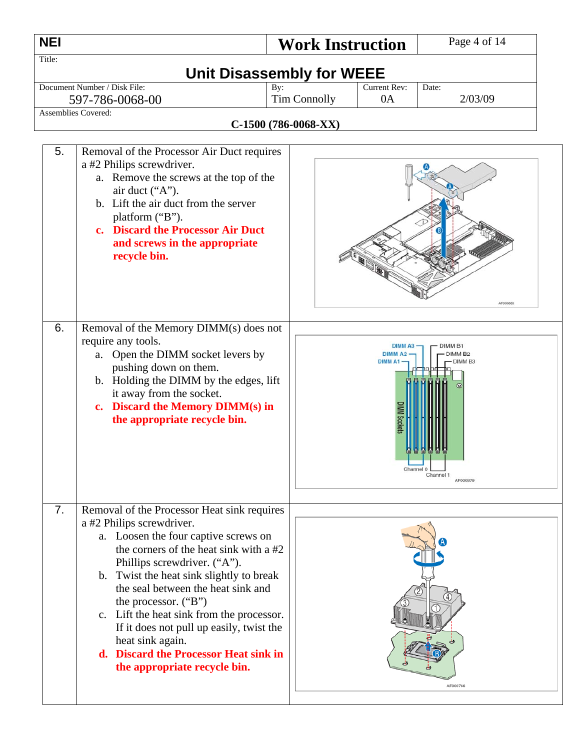| <b>NEI</b> |                                                                                                                                                                                                                                                                                                                                                                                                                                                                                                                                                               | <b>Work Instruction</b>                             |                                                       | Page 4 of 14                                                                                    |
|------------|---------------------------------------------------------------------------------------------------------------------------------------------------------------------------------------------------------------------------------------------------------------------------------------------------------------------------------------------------------------------------------------------------------------------------------------------------------------------------------------------------------------------------------------------------------------|-----------------------------------------------------|-------------------------------------------------------|-------------------------------------------------------------------------------------------------|
| Title:     |                                                                                                                                                                                                                                                                                                                                                                                                                                                                                                                                                               | <b>Unit Disassembly for WEEE</b>                    |                                                       |                                                                                                 |
|            | Document Number / Disk File:<br>597-786-0068-00<br>Assemblies Covered:                                                                                                                                                                                                                                                                                                                                                                                                                                                                                        | By:<br><b>Tim Connolly</b><br>$C-1500(786-0068-XX)$ | <b>Current Rev:</b><br>0A                             | Date:<br>2/03/09                                                                                |
| 5.<br>6.   | Removal of the Processor Air Duct requires<br>a #2 Philips screwdriver.<br>a. Remove the screws at the top of the<br>air duct ("A").<br>b. Lift the air duct from the server<br>platform ("B").<br>c. Discard the Processor Air Duct<br>and screws in the appropriate<br>recycle bin.<br>Removal of the Memory DIMM(s) does not<br>require any tools.<br>a. Open the DIMM socket levers by<br>pushing down on them.<br>b. Holding the DIMM by the edges, lift<br>it away from the socket.<br>c. Discard the Memory DIMM(s) in<br>the appropriate recycle bin. |                                                     | DIMM A3<br><b>DIMMA2</b><br><b>DIMM A1</b><br>Channel | AF000880<br>DIMM <sub>B1</sub><br><b>DIMM B2</b><br>DIMM <sub>B3</sub><br>Channel 1<br>AF000879 |
| 7.         | Removal of the Processor Heat sink requires<br>a #2 Philips screwdriver.<br>a. Loosen the four captive screws on<br>the corners of the heat sink with a #2<br>Phillips screwdriver. ("A").<br>b. Twist the heat sink slightly to break<br>the seal between the heat sink and<br>the processor. ("B")<br>c. Lift the heat sink from the processor.<br>If it does not pull up easily, twist the<br>heat sink again.<br>d. Discard the Processor Heat sink in<br>the appropriate recycle bin.                                                                    |                                                     |                                                       | AF000766                                                                                        |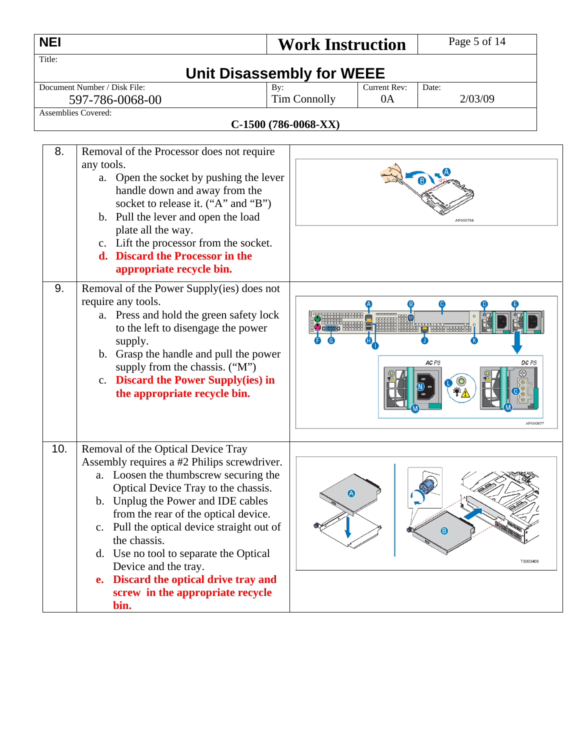| <b>NEI</b> |                                                                                                                                                                                                                                                                                                                                                                                                                                                                                    |     | <b>Work Instruction</b> |              | Page 5 of 14                             |
|------------|------------------------------------------------------------------------------------------------------------------------------------------------------------------------------------------------------------------------------------------------------------------------------------------------------------------------------------------------------------------------------------------------------------------------------------------------------------------------------------|-----|-------------------------|--------------|------------------------------------------|
| Title:     |                                                                                                                                                                                                                                                                                                                                                                                                                                                                                    |     |                         |              |                                          |
|            | <b>Unit Disassembly for WEEE</b><br>Document Number / Disk File:                                                                                                                                                                                                                                                                                                                                                                                                                   |     |                         | Current Rev: | Date:                                    |
|            | 597-786-0068-00                                                                                                                                                                                                                                                                                                                                                                                                                                                                    | By: | <b>Tim Connolly</b>     | 0A           | 2/03/09                                  |
|            | Assemblies Covered:                                                                                                                                                                                                                                                                                                                                                                                                                                                                |     |                         |              |                                          |
|            |                                                                                                                                                                                                                                                                                                                                                                                                                                                                                    |     | C-1500 (786-0068-XX)    |              |                                          |
| 8.         | Removal of the Processor does not require<br>any tools.<br>Open the socket by pushing the lever<br>a.<br>handle down and away from the<br>socket to release it. ("A" and "B")<br>b. Pull the lever and open the load<br>plate all the way.<br>c. Lift the processor from the socket.<br>d. Discard the Processor in the<br>appropriate recycle bin.                                                                                                                                |     |                         |              | AF000768                                 |
| 9.         | Removal of the Power Supply(ies) does not<br>require any tools.<br>a. Press and hold the green safety lock<br>to the left to disengage the power<br>supply.<br>b. Grasp the handle and pull the power<br>supply from the chassis. ("M")<br>c. Discard the Power Supply(ies) in<br>the appropriate recycle bin.                                                                                                                                                                     |     |                         |              | 5555555555<br>AC PS<br>DC PS<br>AF000877 |
| 10.        | Removal of the Optical Device Tray<br>Assembly requires a #2 Philips screwdriver.<br>a. Loosen the thumbscrew securing the<br>Optical Device Tray to the chassis.<br>b. Unplug the Power and IDE cables<br>from the rear of the optical device.<br>c. Pull the optical device straight out of<br>the chassis.<br>d. Use no tool to separate the Optical<br>Device and the tray.<br>Discard the optical drive tray and<br>$e_{\bullet}$<br>screw in the appropriate recycle<br>bin. |     | $\bullet$               |              | $\bullet$<br>TS000409                    |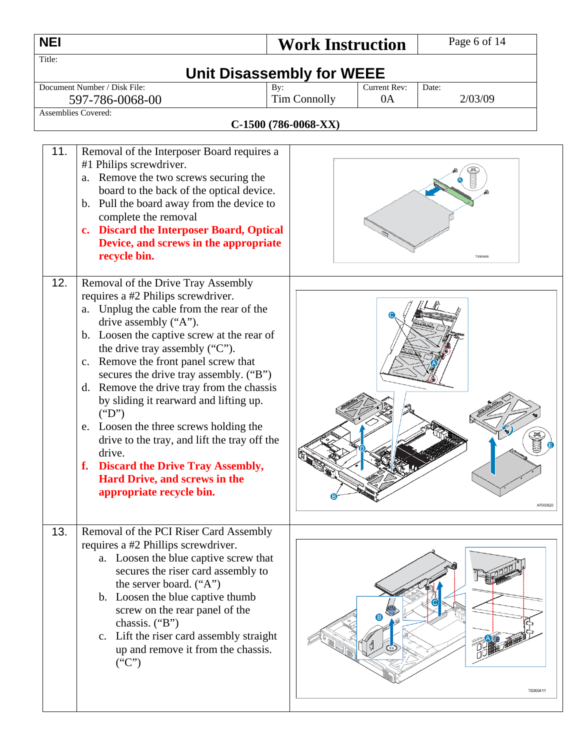| <b>NEI</b> |                                                                                                                                                                                                                                                                                                                                                                                                                                                                                                             | <b>Work Instruction</b>                            |                    | Page 6 of 14     |
|------------|-------------------------------------------------------------------------------------------------------------------------------------------------------------------------------------------------------------------------------------------------------------------------------------------------------------------------------------------------------------------------------------------------------------------------------------------------------------------------------------------------------------|----------------------------------------------------|--------------------|------------------|
| Title:     |                                                                                                                                                                                                                                                                                                                                                                                                                                                                                                             | <b>Unit Disassembly for WEEE</b>                   |                    |                  |
|            | Document Number / Disk File:<br>597-786-0068-00<br>Assemblies Covered:                                                                                                                                                                                                                                                                                                                                                                                                                                      | By:<br><b>Tim Connolly</b><br>C-1500 (786-0068-XX) | Current Rev:<br>0A | Date:<br>2/03/09 |
| 11.<br>12. | Removal of the Interposer Board requires a<br>#1 Philips screwdriver.<br>Remove the two screws securing the<br>a.<br>board to the back of the optical device.<br>b. Pull the board away from the device to<br>complete the removal<br><b>Discard the Interposer Board, Optical</b><br>$c_{\bullet}$<br>Device, and screws in the appropriate<br>recycle bin.<br>Removal of the Drive Tray Assembly<br>requires a #2 Philips screwdriver.<br>Unplug the cable from the rear of the<br>a.                     |                                                    |                    | <b>TS000406</b>  |
|            | drive assembly ("A").<br>b. Loosen the captive screw at the rear of<br>the drive tray assembly ("C").<br>c. Remove the front panel screw that<br>secures the drive tray assembly. ("B")<br>Remove the drive tray from the chassis<br>d.<br>by sliding it rearward and lifting up.<br>("D")<br>Loosen the three screws holding the<br>e.<br>drive to the tray, and lift the tray off the<br>drive<br>f. Discard the Drive Tray Assembly,<br><b>Hard Drive, and screws in the</b><br>appropriate recycle bin. |                                                    |                    | AF000820         |
| 13.        | Removal of the PCI Riser Card Assembly<br>requires a #2 Phillips screwdriver.<br>a. Loosen the blue captive screw that<br>secures the riser card assembly to<br>the server board. ("A")<br>b. Loosen the blue captive thumb<br>screw on the rear panel of the<br>chassis. ("B")<br>c. Lift the riser card assembly straight<br>up and remove it from the chassis.<br>("C")                                                                                                                                  |                                                    |                    | TS000411         |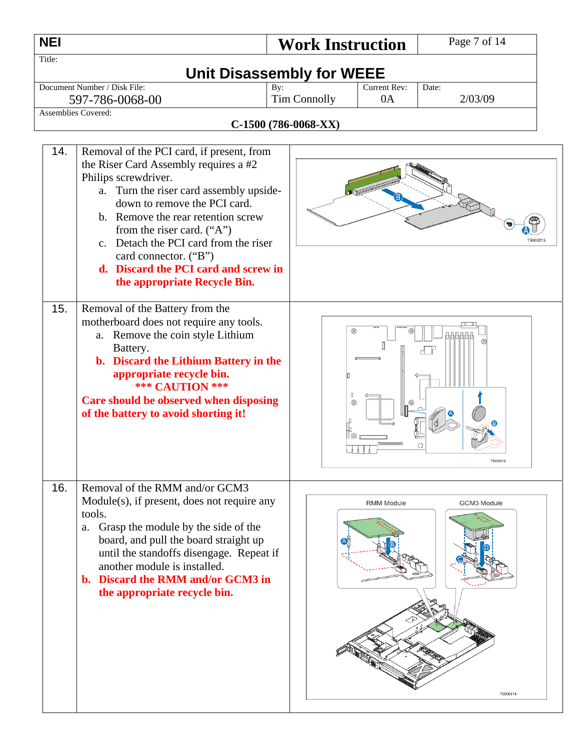| <b>NEI</b> |                                                                                                                                                                                                                                                                                                                                                                                                       | <b>Work Instruction</b>                            |                    | Page 7 of 14            |
|------------|-------------------------------------------------------------------------------------------------------------------------------------------------------------------------------------------------------------------------------------------------------------------------------------------------------------------------------------------------------------------------------------------------------|----------------------------------------------------|--------------------|-------------------------|
| Title:     |                                                                                                                                                                                                                                                                                                                                                                                                       | <b>Unit Disassembly for WEEE</b>                   |                    |                         |
|            | Document Number / Disk File:<br>597-786-0068-00<br><b>Assemblies Covered:</b>                                                                                                                                                                                                                                                                                                                         | By:<br><b>Tim Connolly</b><br>C-1500 (786-0068-XX) | Current Rev:<br>0A | Date:<br>2/03/09        |
| 14.        | Removal of the PCI card, if present, from<br>the Riser Card Assembly requires a #2<br>Philips screwdriver.<br>a. Turn the riser card assembly upside-<br>down to remove the PCI card.<br>b. Remove the rear retention screw<br>from the riser card. $("A")$<br>c. Detach the PCI card from the riser<br>card connector. ("B")<br>d. Discard the PCI card and screw in<br>the appropriate Recycle Bin. |                                                    |                    |                         |
| 15.        | Removal of the Battery from the<br>motherboard does not require any tools.<br>a. Remove the coin style Lithium<br>Battery.<br>b. Discard the Lithium Battery in the<br>appropriate recycle bin.<br><b>*** CAUTION ***</b><br>Care should be observed when disposing<br>of the battery to avoid shorting it!                                                                                           | ⊚                                                  |                    | TS000416                |
| 16.        | Removal of the RMM and/or GCM3<br>Module(s), if present, does not require any<br>tools.<br>Grasp the module by the side of the<br>a.<br>board, and pull the board straight up<br>until the standoffs disengage. Repeat if<br>another module is installed.<br>b. Discard the RMM and/or GCM3 in<br>the appropriate recycle bin.                                                                        |                                                    | <b>RMM Module</b>  | GCM3 Module<br>TS000414 |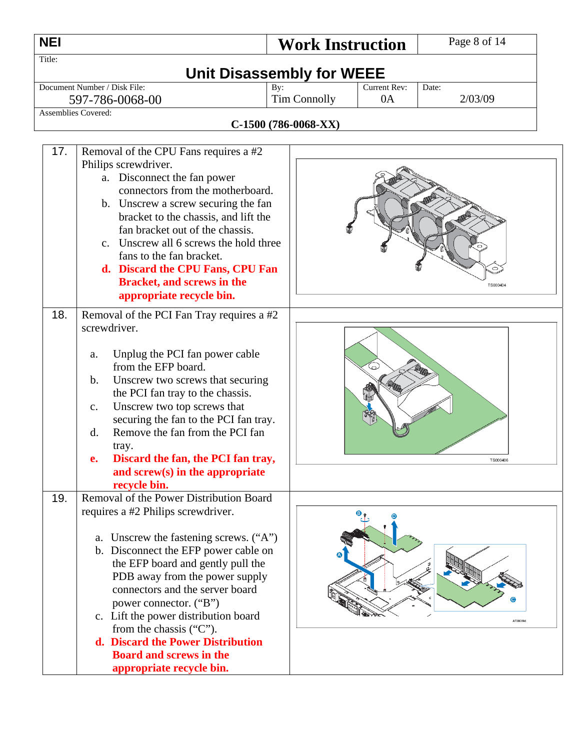| <b>NEI</b> |                                                                                                                                                                                                                                                                                                                                                                                                                                                                                           | <b>Work Instruction</b>          |                     | Page 8 of 14 |
|------------|-------------------------------------------------------------------------------------------------------------------------------------------------------------------------------------------------------------------------------------------------------------------------------------------------------------------------------------------------------------------------------------------------------------------------------------------------------------------------------------------|----------------------------------|---------------------|--------------|
| Title:     |                                                                                                                                                                                                                                                                                                                                                                                                                                                                                           | <b>Unit Disassembly for WEEE</b> |                     |              |
|            | Document Number / Disk File:                                                                                                                                                                                                                                                                                                                                                                                                                                                              | By:                              | <b>Current Rev:</b> | Date:        |
|            | 597-786-0068-00<br><b>Assemblies Covered:</b>                                                                                                                                                                                                                                                                                                                                                                                                                                             | <b>Tim Connolly</b>              | 0A                  | 2/03/09      |
|            |                                                                                                                                                                                                                                                                                                                                                                                                                                                                                           | C-1500 (786-0068-XX)             |                     |              |
| 17.        | Removal of the CPU Fans requires a #2<br>Philips screwdriver.<br>a. Disconnect the fan power<br>connectors from the motherboard.<br>b. Unscrew a screw securing the fan<br>bracket to the chassis, and lift the<br>fan bracket out of the chassis.<br>c. Unscrew all 6 screws the hold three<br>fans to the fan bracket.<br>d. Discard the CPU Fans, CPU Fan<br><b>Bracket, and screws in the</b><br>appropriate recycle bin.                                                             |                                  |                     | TS000404     |
| 18.        | Removal of the PCI Fan Tray requires a #2<br>screwdriver.<br>Unplug the PCI fan power cable<br>a.<br>from the EFP board.<br>$\mathbf b$ .<br>Unscrew two screws that securing<br>the PCI fan tray to the chassis.<br>Unscrew two top screws that<br>c.<br>securing the fan to the PCI fan tray.<br>Remove the fan from the PCI fan<br>d.<br>tray.<br>Discard the fan, the PCI fan tray,<br>and screw(s) in the appropriate                                                                |                                  |                     | TS000406     |
| 19.        | recycle bin.<br>Removal of the Power Distribution Board<br>requires a #2 Philips screwdriver.<br>a. Unscrew the fastening screws. ("A")<br>b. Disconnect the EFP power cable on<br>the EFP board and gently pull the<br>PDB away from the power supply<br>connectors and the server board<br>power connector. ("B")<br>c. Lift the power distribution board<br>from the chassis ("C").<br>d. Discard the Power Distribution<br><b>Board and screws in the</b><br>appropriate recycle bin. |                                  |                     | AF000894     |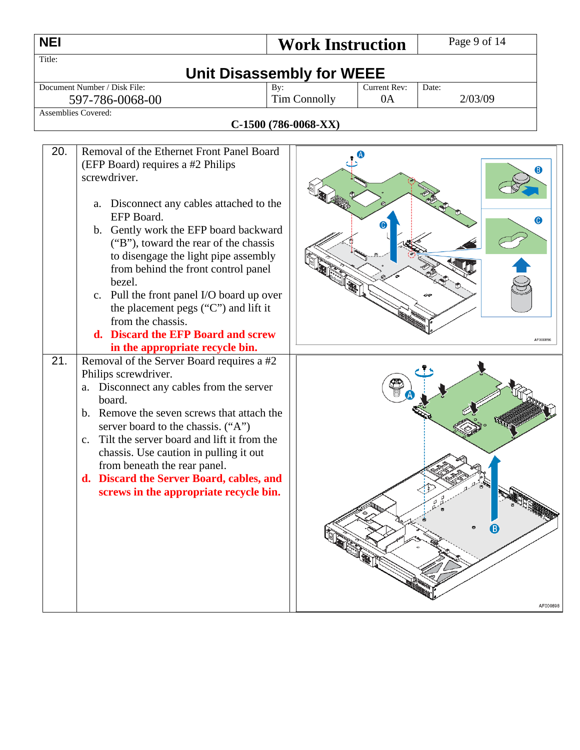| <b>NEI</b>                                                                               |                                                                                                                                                                                                                                                                                                                                                                                                                                                                                                                                                                                                                                                                                                                                                                                                                                                                                         | Page 9 of 14<br><b>Work Instruction</b> |                    |                  |                                |
|------------------------------------------------------------------------------------------|-----------------------------------------------------------------------------------------------------------------------------------------------------------------------------------------------------------------------------------------------------------------------------------------------------------------------------------------------------------------------------------------------------------------------------------------------------------------------------------------------------------------------------------------------------------------------------------------------------------------------------------------------------------------------------------------------------------------------------------------------------------------------------------------------------------------------------------------------------------------------------------------|-----------------------------------------|--------------------|------------------|--------------------------------|
| Title:                                                                                   |                                                                                                                                                                                                                                                                                                                                                                                                                                                                                                                                                                                                                                                                                                                                                                                                                                                                                         | <b>Unit Disassembly for WEEE</b>        |                    |                  |                                |
| Document Number / Disk File:<br>597-786-0068-00                                          |                                                                                                                                                                                                                                                                                                                                                                                                                                                                                                                                                                                                                                                                                                                                                                                                                                                                                         | By:<br><b>Tim Connolly</b>              | Current Rev:<br>0A | Date:<br>2/03/09 |                                |
| <b>Assemblies Covered:</b>                                                               |                                                                                                                                                                                                                                                                                                                                                                                                                                                                                                                                                                                                                                                                                                                                                                                                                                                                                         | C-1500 (786-0068-XX)                    |                    |                  |                                |
|                                                                                          |                                                                                                                                                                                                                                                                                                                                                                                                                                                                                                                                                                                                                                                                                                                                                                                                                                                                                         |                                         |                    |                  |                                |
| 20.<br>screwdriver.<br>bezel.<br>21.<br>Philips screwdriver.<br>board.<br>$\mathbf{c}$ . | Removal of the Ethernet Front Panel Board<br>(EFP Board) requires a #2 Philips<br>a. Disconnect any cables attached to the<br>EFP Board.<br>b. Gently work the EFP board backward<br>("B"), toward the rear of the chassis<br>to disengage the light pipe assembly<br>from behind the front control panel<br>c. Pull the front panel I/O board up over<br>the placement pegs ("C") and lift it<br>from the chassis.<br>d. Discard the EFP Board and screw<br>in the appropriate recycle bin.<br>Removal of the Server Board requires a #2<br>a. Disconnect any cables from the server<br>b. Remove the seven screws that attach the<br>server board to the chassis. ("A")<br>Tilt the server board and lift it from the<br>chassis. Use caution in pulling it out<br>from beneath the rear panel.<br>d. Discard the Server Board, cables, and<br>screws in the appropriate recycle bin. |                                         |                    | ιΒ.              | 6<br>0<br>AF000896<br>AF000898 |
|                                                                                          |                                                                                                                                                                                                                                                                                                                                                                                                                                                                                                                                                                                                                                                                                                                                                                                                                                                                                         |                                         |                    |                  |                                |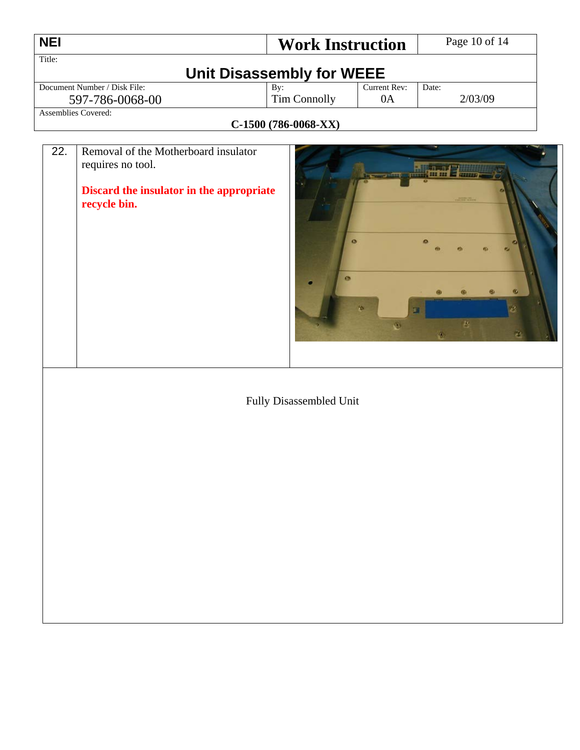| <b>NEI</b>                   | <b>Work Instruction</b>   |              | Page 10 of 14 |
|------------------------------|---------------------------|--------------|---------------|
| Title:                       |                           |              |               |
|                              | Unit Disassembly for WEEE |              |               |
| Document Number / Disk File: | By:                       | Current Rev: | Date:         |
| 597-786-0068-00              | <b>Tim Connolly</b>       | 0A           | 2/03/09       |
| <b>Assemblies Covered:</b>   |                           |              |               |
|                              | $C-1500(786-0068-XX)$     |              |               |

┑

| 22. | Removal of the Motherboard insulator<br>requires no tool.<br>Discard the insulator in the appropriate<br>recycle bin. | <b>The Control</b> of the Control of the Control of the Control of the Control of the Control of the Control of the Con<br><b>Parties</b><br><b>SOURCES</b><br>$\bullet$<br>$\bullet$<br>$\bullet$<br>16.<br>$\mathcal{M}_\mathrm{b}$<br>W.<br>ρŊ, |
|-----|-----------------------------------------------------------------------------------------------------------------------|----------------------------------------------------------------------------------------------------------------------------------------------------------------------------------------------------------------------------------------------------|
|     |                                                                                                                       | Fully Disassembled Unit                                                                                                                                                                                                                            |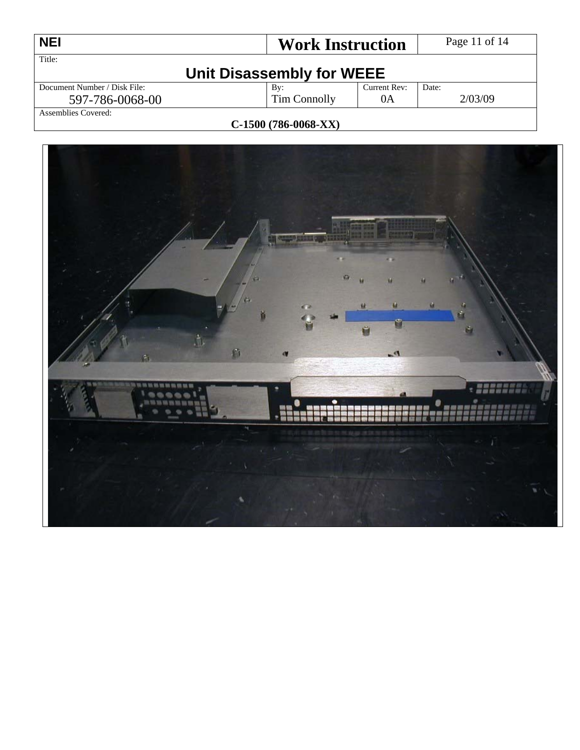| <b>NEI</b>                          | <b>Work Instruction</b> |              | Page 11 of 14 |  |
|-------------------------------------|-------------------------|--------------|---------------|--|
| Title:<br>Unit Disassembly for WEEE |                         |              |               |  |
| Document Number / Disk File:        | Bv:                     | Current Rev: | Date:         |  |
| 597-786-0068-00                     | Tim Connolly            | 0A           | 2/03/09       |  |
| Assemblies Covered:                 |                         |              |               |  |

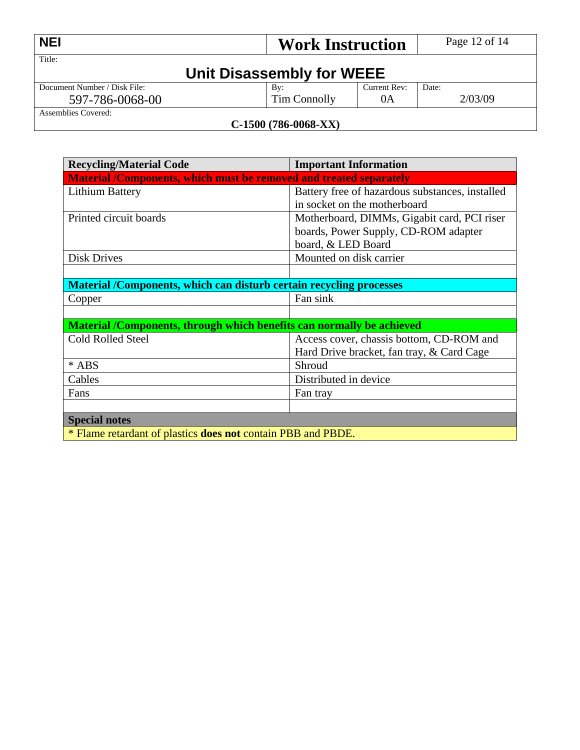| <b>NEI</b>                          | <b>Work Instruction</b> |              | Page 12 of 14 |  |
|-------------------------------------|-------------------------|--------------|---------------|--|
| Title:<br>Unit Disassembly for WEEE |                         |              |               |  |
| Document Number / Disk File:        | By:                     | Current Rev: | Date:         |  |
| 597-786-0068-00                     | Tim Connolly            | 0A           | 2/03/09       |  |
| Assemblies Covered:                 |                         |              |               |  |

| <b>Recycling/Material Code</b>                                             | <b>Important Information</b>                    |  |  |
|----------------------------------------------------------------------------|-------------------------------------------------|--|--|
| <b>Material /Components, which must be removed and treated separately</b>  |                                                 |  |  |
| <b>Lithium Battery</b>                                                     | Battery free of hazardous substances, installed |  |  |
|                                                                            | in socket on the motherboard                    |  |  |
| Printed circuit boards                                                     | Motherboard, DIMMs, Gigabit card, PCI riser     |  |  |
|                                                                            | boards, Power Supply, CD-ROM adapter            |  |  |
|                                                                            | board, & LED Board                              |  |  |
| <b>Disk Drives</b>                                                         | Mounted on disk carrier                         |  |  |
|                                                                            |                                                 |  |  |
| <b>Material /Components, which can disturb certain recycling processes</b> |                                                 |  |  |
| Copper                                                                     | Fan sink                                        |  |  |
|                                                                            |                                                 |  |  |
| Material /Components, through which benefits can normally be achieved      |                                                 |  |  |
| <b>Cold Rolled Steel</b>                                                   | Access cover, chassis bottom, CD-ROM and        |  |  |
|                                                                            | Hard Drive bracket, fan tray, & Card Cage       |  |  |
| $*$ ABS                                                                    | Shroud                                          |  |  |
| Cables                                                                     | Distributed in device                           |  |  |
| Fans                                                                       | Fan tray                                        |  |  |
|                                                                            |                                                 |  |  |
| <b>Special notes</b>                                                       |                                                 |  |  |
| * Flame retardant of plastics <b>does not</b> contain PBB and PBDE.        |                                                 |  |  |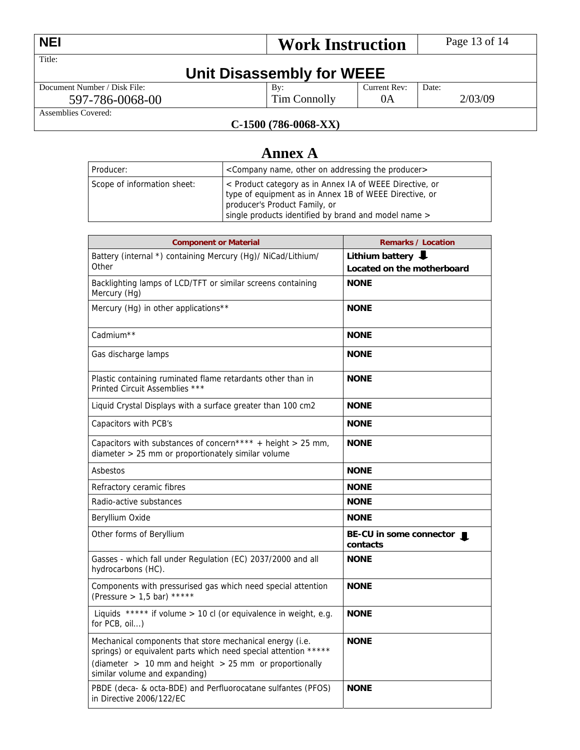| <b>NEI</b>                   | <b>Work Instruction</b> |              | Page 13 of 14 |
|------------------------------|-------------------------|--------------|---------------|
| Title:                       |                         |              |               |
| Unit Disassembly for WEEE    |                         |              |               |
| Document Number / Disk File: | $\mathbf{B}v$ :         | Current Rev: | Date:         |
| 597-786-0068-00              | Tim Connolly            | 0A           | 2/03/09       |
| Assemblies Covered:          |                         |              |               |

# **Annex A**

| Producer:                   | <company addressing="" name,="" on="" other="" producer="" the=""></company>                                                                                                                               |
|-----------------------------|------------------------------------------------------------------------------------------------------------------------------------------------------------------------------------------------------------|
| Scope of information sheet: | < Product category as in Annex IA of WEEE Directive, or<br>type of equipment as in Annex 1B of WEEE Directive, or<br>producer's Product Family, or<br>single products identified by brand and model name > |

| <b>Component or Material</b>                                                                                                                                                                                               | <b>Remarks / Location</b>                     |  |  |
|----------------------------------------------------------------------------------------------------------------------------------------------------------------------------------------------------------------------------|-----------------------------------------------|--|--|
| Battery (internal *) containing Mercury (Hg)/ NiCad/Lithium/<br>Other                                                                                                                                                      | Lithium battery<br>Located on the motherboard |  |  |
| Backlighting lamps of LCD/TFT or similar screens containing<br>Mercury (Hg)                                                                                                                                                | <b>NONE</b>                                   |  |  |
| Mercury (Hg) in other applications**                                                                                                                                                                                       | <b>NONE</b>                                   |  |  |
| Cadmium <sup>**</sup>                                                                                                                                                                                                      | <b>NONE</b>                                   |  |  |
| Gas discharge lamps                                                                                                                                                                                                        | <b>NONE</b>                                   |  |  |
| Plastic containing ruminated flame retardants other than in<br>Printed Circuit Assemblies ***                                                                                                                              | <b>NONE</b>                                   |  |  |
| Liquid Crystal Displays with a surface greater than 100 cm2                                                                                                                                                                | <b>NONE</b>                                   |  |  |
| Capacitors with PCB's                                                                                                                                                                                                      | <b>NONE</b>                                   |  |  |
| Capacitors with substances of concern**** + height > 25 mm,<br>diameter > 25 mm or proportionately similar volume                                                                                                          | <b>NONE</b>                                   |  |  |
| Asbestos                                                                                                                                                                                                                   | <b>NONE</b>                                   |  |  |
| Refractory ceramic fibres                                                                                                                                                                                                  | <b>NONE</b>                                   |  |  |
| Radio-active substances                                                                                                                                                                                                    | <b>NONE</b>                                   |  |  |
| Beryllium Oxide                                                                                                                                                                                                            | <b>NONE</b>                                   |  |  |
| Other forms of Beryllium                                                                                                                                                                                                   | BE-CU in some connector  <br>contacts         |  |  |
| Gasses - which fall under Regulation (EC) 2037/2000 and all<br>hydrocarbons (HC).                                                                                                                                          | <b>NONE</b>                                   |  |  |
| Components with pressurised gas which need special attention<br>(Pressure > 1,5 bar) *****                                                                                                                                 | <b>NONE</b>                                   |  |  |
| Liquids ***** if volume > 10 cl (or equivalence in weight, e.g.<br>for PCB, oil)                                                                                                                                           | <b>NONE</b>                                   |  |  |
| Mechanical components that store mechanical energy (i.e.<br>springs) or equivalent parts which need special attention *****<br>(diameter $> 10$ mm and height $> 25$ mm or proportionally<br>similar volume and expanding) | <b>NONE</b>                                   |  |  |
| PBDE (deca- & octa-BDE) and Perfluorocatane sulfantes (PFOS)<br>in Directive 2006/122/EC                                                                                                                                   | <b>NONE</b>                                   |  |  |